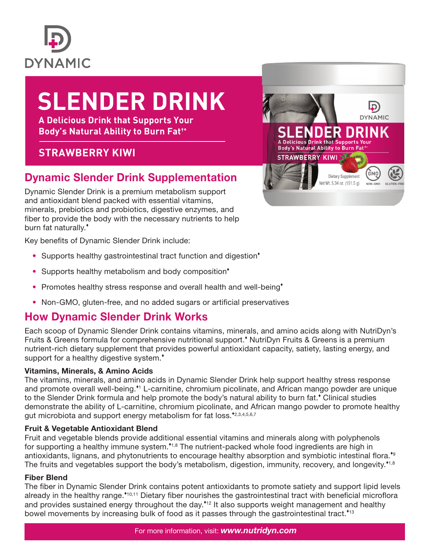

# **SLENDER DRINK**

**A Delicious Drink that Supports Your Body's Natural Ability to Burn Fat†**

### **STRAWBERRY KIWI**

## Dynamic Slender Drink Supplementation

Dynamic Slender Drink is a premium metabolism support and antioxidant blend packed with essential vitamins, minerals, prebiotics and probiotics, digestive enzymes, and fiber to provide the body with the necessary nutrients to help burn fat naturally.<sup>\*</sup>

Key benefits of Dynamic Slender Drink include:

- Supports healthy gastrointestinal tract function and digestion<sup>\*</sup>
- Supports healthy metabolism and body composition<sup>\*</sup>
- Promotes healthy stress response and overall health and well-being<sup>\*</sup>
- Non-GMO, gluten-free, and no added sugars or artificial preservatives

## How Dynamic Slender Drink Works

Each scoop of Dynamic Slender Drink contains vitamins, minerals, and amino acids along with NutriDyn's Fruits & Greens formula for comprehensive nutritional support. NutriDyn Fruits & Greens is a premium nutrient-rich dietary supplement that provides powerful antioxidant capacity, satiety, lasting energy, and support for a healthy digestive system.<sup>\*</sup>

#### Vitamins, Minerals, & Amino Acids

The vitamins, minerals, and amino acids in Dynamic Slender Drink help support healthy stress response and promote overall well-being.<sup>\*1</sup> L-carnitine, chromium picolinate, and African mango powder are unique to the Slender Drink formula and help promote the body's natural ability to burn fat. Clinical studies demonstrate the ability of L-carnitine, chromium picolinate, and African mango powder to promote healthy gut microbiota and support energy metabolism for fat loss.<sup>\*2,3,4,5,6,7</sup>

#### Fruit & Vegetable Antioxidant Blend

Fruit and vegetable blends provide additional essential vitamins and minerals along with polyphenols for supporting a healthy immune system.<sup> $*_{1,8}$ </sup> The nutrient-packed whole food ingredients are high in antioxidants, lignans, and phytonutrients to encourage healthy absorption and symbiotic intestinal flora.<sup>49</sup> The fruits and vegetables support the body's metabolism, digestion, immunity, recovery, and longevity. $1.8$ 

#### Fiber Blend

The fiber in Dynamic Slender Drink contains potent antioxidants to promote satiety and support lipid levels already in the healthy range.<sup>\*10,11</sup> Dietary fiber nourishes the gastrointestinal tract with beneficial microflora and provides sustained energy throughout the day.<sup>\*12</sup> It also supports weight management and healthy bowel movements by increasing bulk of food as it passes through the gastrointestinal tract.<sup>\*13</sup>